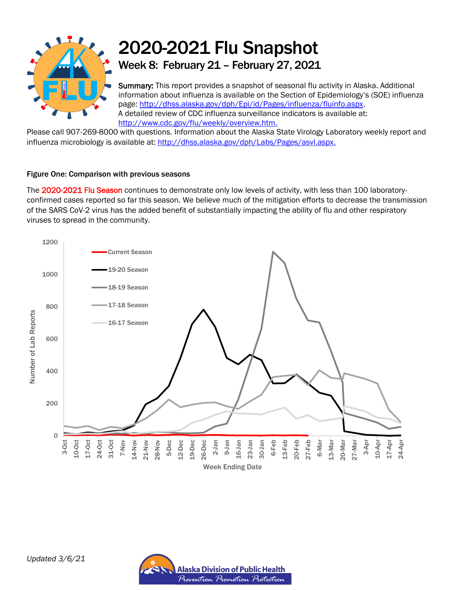

# 2020-2021 Flu Snapshot Week 8: February 21 – February 27, 2021

Summary: This report provides a snapshot of seasonal flu activity in Alaska. Additional information about influenza is available on the Section of Epidemiology's (SOE) influenza page: [http://dhss.alaska.gov/dph/Epi/id/Pages/influenza/fluinfo.aspx.](http://dhss.alaska.gov/dph/Epi/id/Pages/influenza/fluinfo.aspx) A detailed review of CDC influenza surveillance indicators is available at: [http://www.cdc.gov/flu/weekly/overview.htm.](http://www.cdc.gov/flu/weekly/overview.htm)

Please call 907-269-8000 with questions. Information about the Alaska State Virology Laboratory weekly report and influenza microbiology is available at: [http://dhss.alaska.gov/dph/Labs/Pages/asvl.aspx.](http://dhss.alaska.gov/dph/Labs/Pages/asvl.aspx)

## Figure One: Comparison with previous seasons

The 2020-2021 Flu Season continues to demonstrate only low levels of activity, with less than 100 laboratoryconfirmed cases reported so far this season. We believe much of the mitigation efforts to decrease the transmission of the SARS CoV-2 virus has the added benefit of substantially impacting the ability of flu and other respiratory viruses to spread in the community.



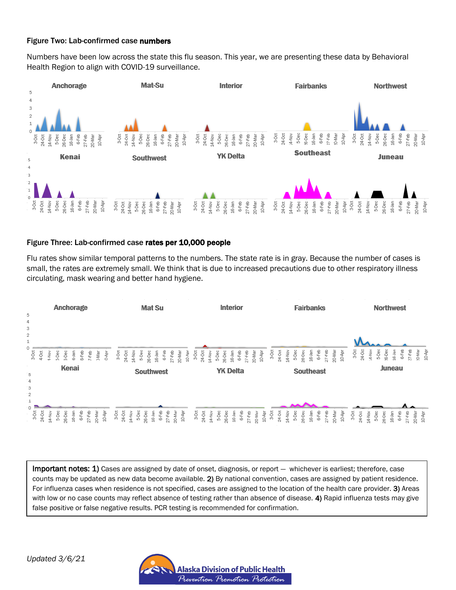### Figure Two: Lab-confirmed case numbers

Numbers have been low across the state this flu season. This year, we are presenting these data by Behavioral Health Region to align with COVID-19 surveillance.



#### Figure Three: Lab-confirmed case rates per 10,000 people

Flu rates show similar temporal patterns to the numbers. The state rate is in gray. Because the number of cases is small, the rates are extremely small. We think that is due to increased precautions due to other respiratory illness circulating, mask wearing and better hand hygiene.



Important notes: 1) Cases are assigned by date of onset, diagnosis, or report — whichever is earliest; therefore, case counts may be updated as new data become available. 2) By national convention, cases are assigned by patient residence. For influenza cases when residence is not specified, cases are assigned to the location of the health care provider. 3) Areas with low or no case counts may reflect absence of testing rather than absence of disease. 4) Rapid influenza tests may give false positive or false negative results. PCR testing is recommended for confirmation.